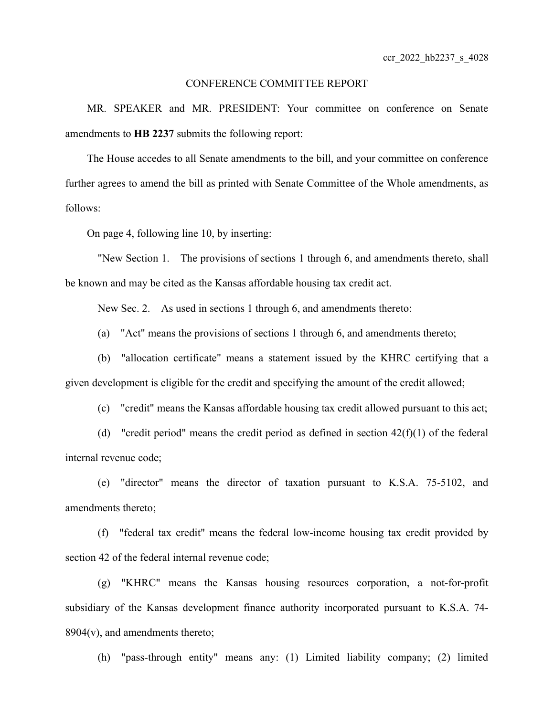## CONFERENCE COMMITTEE REPORT

MR. SPEAKER and MR. PRESIDENT: Your committee on conference on Senate amendments to **HB 2237** submits the following report:

The House accedes to all Senate amendments to the bill, and your committee on conference further agrees to amend the bill as printed with Senate Committee of the Whole amendments, as follows:

On page 4, following line 10, by inserting:

"New Section 1. The provisions of sections 1 through 6, and amendments thereto, shall be known and may be cited as the Kansas affordable housing tax credit act.

New Sec. 2. As used in sections 1 through 6, and amendments thereto:

(a) "Act" means the provisions of sections 1 through 6, and amendments thereto;

(b) "allocation certificate" means a statement issued by the KHRC certifying that a given development is eligible for the credit and specifying the amount of the credit allowed;

(c) "credit" means the Kansas affordable housing tax credit allowed pursuant to this act;

(d) "credit period" means the credit period as defined in section  $42(f)(1)$  of the federal internal revenue code;

(e) "director" means the director of taxation pursuant to K.S.A. 75-5102, and amendments thereto;

(f) "federal tax credit" means the federal low-income housing tax credit provided by section 42 of the federal internal revenue code;

(g) "KHRC" means the Kansas housing resources corporation, a not-for-profit subsidiary of the Kansas development finance authority incorporated pursuant to K.S.A. 74-  $8904(v)$ , and amendments thereto;

(h) "pass-through entity" means any: (1) Limited liability company; (2) limited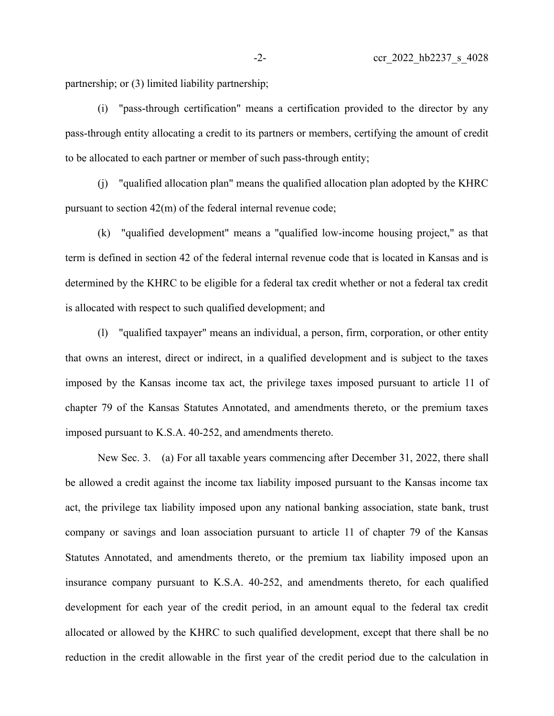partnership; or (3) limited liability partnership;

(i) "pass-through certification" means a certification provided to the director by any pass-through entity allocating a credit to its partners or members, certifying the amount of credit to be allocated to each partner or member of such pass-through entity;

(j) "qualified allocation plan" means the qualified allocation plan adopted by the KHRC pursuant to section 42(m) of the federal internal revenue code;

(k) "qualified development" means a "qualified low-income housing project," as that term is defined in section 42 of the federal internal revenue code that is located in Kansas and is determined by the KHRC to be eligible for a federal tax credit whether or not a federal tax credit is allocated with respect to such qualified development; and

(l) "qualified taxpayer" means an individual, a person, firm, corporation, or other entity that owns an interest, direct or indirect, in a qualified development and is subject to the taxes imposed by the Kansas income tax act, the privilege taxes imposed pursuant to article 11 of chapter 79 of the Kansas Statutes Annotated, and amendments thereto, or the premium taxes imposed pursuant to K.S.A. 40-252, and amendments thereto.

New Sec. 3. (a) For all taxable years commencing after December 31, 2022, there shall be allowed a credit against the income tax liability imposed pursuant to the Kansas income tax act, the privilege tax liability imposed upon any national banking association, state bank, trust company or savings and loan association pursuant to article 11 of chapter 79 of the Kansas Statutes Annotated, and amendments thereto, or the premium tax liability imposed upon an insurance company pursuant to K.S.A. 40-252, and amendments thereto, for each qualified development for each year of the credit period, in an amount equal to the federal tax credit allocated or allowed by the KHRC to such qualified development, except that there shall be no reduction in the credit allowable in the first year of the credit period due to the calculation in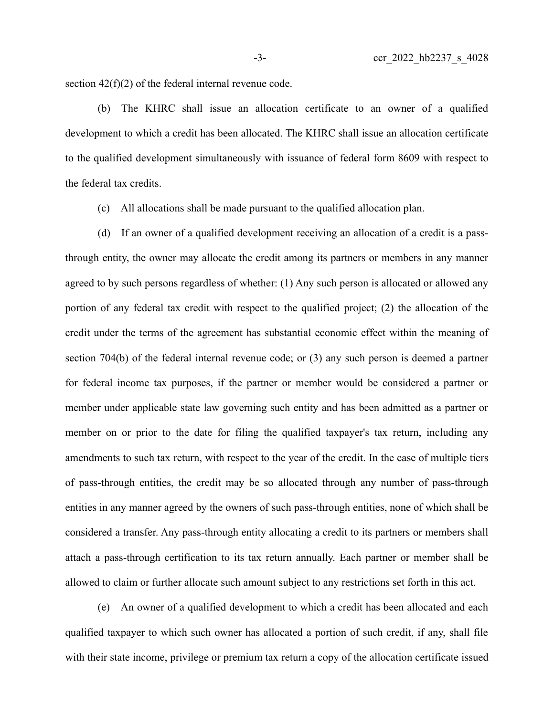section 42(f)(2) of the federal internal revenue code.

(b) The KHRC shall issue an allocation certificate to an owner of a qualified development to which a credit has been allocated. The KHRC shall issue an allocation certificate to the qualified development simultaneously with issuance of federal form 8609 with respect to the federal tax credits.

(c) All allocations shall be made pursuant to the qualified allocation plan.

(d) If an owner of a qualified development receiving an allocation of a credit is a passthrough entity, the owner may allocate the credit among its partners or members in any manner agreed to by such persons regardless of whether: (1) Any such person is allocated or allowed any portion of any federal tax credit with respect to the qualified project; (2) the allocation of the credit under the terms of the agreement has substantial economic effect within the meaning of section 704(b) of the federal internal revenue code; or (3) any such person is deemed a partner for federal income tax purposes, if the partner or member would be considered a partner or member under applicable state law governing such entity and has been admitted as a partner or member on or prior to the date for filing the qualified taxpayer's tax return, including any amendments to such tax return, with respect to the year of the credit. In the case of multiple tiers of pass-through entities, the credit may be so allocated through any number of pass-through entities in any manner agreed by the owners of such pass-through entities, none of which shall be considered a transfer. Any pass-through entity allocating a credit to its partners or members shall attach a pass-through certification to its tax return annually. Each partner or member shall be allowed to claim or further allocate such amount subject to any restrictions set forth in this act.

(e) An owner of a qualified development to which a credit has been allocated and each qualified taxpayer to which such owner has allocated a portion of such credit, if any, shall file with their state income, privilege or premium tax return a copy of the allocation certificate issued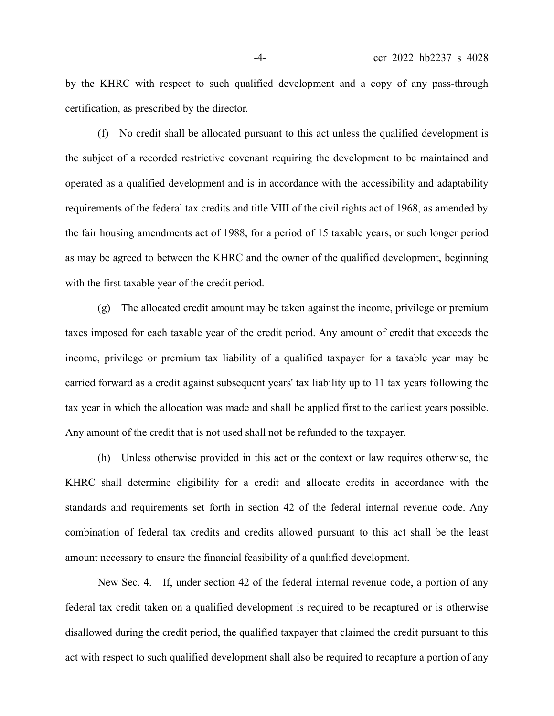by the KHRC with respect to such qualified development and a copy of any pass-through certification, as prescribed by the director.

(f) No credit shall be allocated pursuant to this act unless the qualified development is the subject of a recorded restrictive covenant requiring the development to be maintained and operated as a qualified development and is in accordance with the accessibility and adaptability requirements of the federal tax credits and title VIII of the civil rights act of 1968, as amended by the fair housing amendments act of 1988, for a period of 15 taxable years, or such longer period as may be agreed to between the KHRC and the owner of the qualified development, beginning with the first taxable year of the credit period.

(g) The allocated credit amount may be taken against the income, privilege or premium taxes imposed for each taxable year of the credit period. Any amount of credit that exceeds the income, privilege or premium tax liability of a qualified taxpayer for a taxable year may be carried forward as a credit against subsequent years' tax liability up to 11 tax years following the tax year in which the allocation was made and shall be applied first to the earliest years possible. Any amount of the credit that is not used shall not be refunded to the taxpayer.

(h) Unless otherwise provided in this act or the context or law requires otherwise, the KHRC shall determine eligibility for a credit and allocate credits in accordance with the standards and requirements set forth in section 42 of the federal internal revenue code. Any combination of federal tax credits and credits allowed pursuant to this act shall be the least amount necessary to ensure the financial feasibility of a qualified development.

New Sec. 4. If, under section 42 of the federal internal revenue code, a portion of any federal tax credit taken on a qualified development is required to be recaptured or is otherwise disallowed during the credit period, the qualified taxpayer that claimed the credit pursuant to this act with respect to such qualified development shall also be required to recapture a portion of any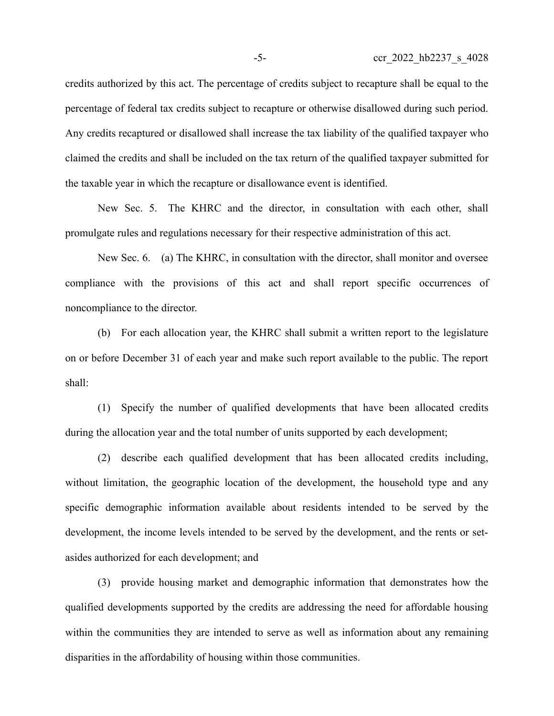credits authorized by this act. The percentage of credits subject to recapture shall be equal to the percentage of federal tax credits subject to recapture or otherwise disallowed during such period. Any credits recaptured or disallowed shall increase the tax liability of the qualified taxpayer who claimed the credits and shall be included on the tax return of the qualified taxpayer submitted for the taxable year in which the recapture or disallowance event is identified.

New Sec. 5. The KHRC and the director, in consultation with each other, shall promulgate rules and regulations necessary for their respective administration of this act.

New Sec. 6. (a) The KHRC, in consultation with the director, shall monitor and oversee compliance with the provisions of this act and shall report specific occurrences of noncompliance to the director.

(b) For each allocation year, the KHRC shall submit a written report to the legislature on or before December 31 of each year and make such report available to the public. The report shall:

(1) Specify the number of qualified developments that have been allocated credits during the allocation year and the total number of units supported by each development;

(2) describe each qualified development that has been allocated credits including, without limitation, the geographic location of the development, the household type and any specific demographic information available about residents intended to be served by the development, the income levels intended to be served by the development, and the rents or setasides authorized for each development; and

(3) provide housing market and demographic information that demonstrates how the qualified developments supported by the credits are addressing the need for affordable housing within the communities they are intended to serve as well as information about any remaining disparities in the affordability of housing within those communities.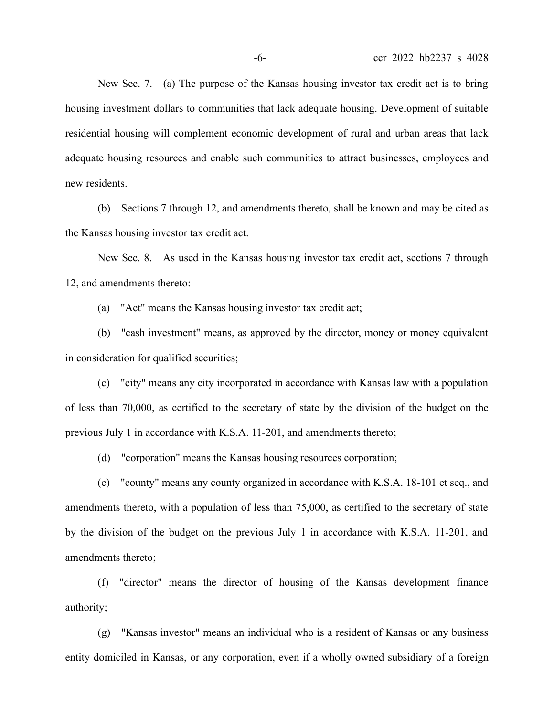New Sec. 7. (a) The purpose of the Kansas housing investor tax credit act is to bring housing investment dollars to communities that lack adequate housing. Development of suitable residential housing will complement economic development of rural and urban areas that lack adequate housing resources and enable such communities to attract businesses, employees and new residents.

(b) Sections 7 through 12, and amendments thereto, shall be known and may be cited as the Kansas housing investor tax credit act.

New Sec. 8. As used in the Kansas housing investor tax credit act, sections 7 through 12, and amendments thereto:

(a) "Act" means the Kansas housing investor tax credit act;

(b) "cash investment" means, as approved by the director, money or money equivalent in consideration for qualified securities;

(c) "city" means any city incorporated in accordance with Kansas law with a population of less than 70,000, as certified to the secretary of state by the division of the budget on the previous July 1 in accordance with K.S.A. 11-201, and amendments thereto;

(d) "corporation" means the Kansas housing resources corporation;

(e) "county" means any county organized in accordance with K.S.A. 18-101 et seq., and amendments thereto, with a population of less than 75,000, as certified to the secretary of state by the division of the budget on the previous July 1 in accordance with K.S.A. 11-201, and amendments thereto;

(f) "director" means the director of housing of the Kansas development finance authority;

(g) "Kansas investor" means an individual who is a resident of Kansas or any business entity domiciled in Kansas, or any corporation, even if a wholly owned subsidiary of a foreign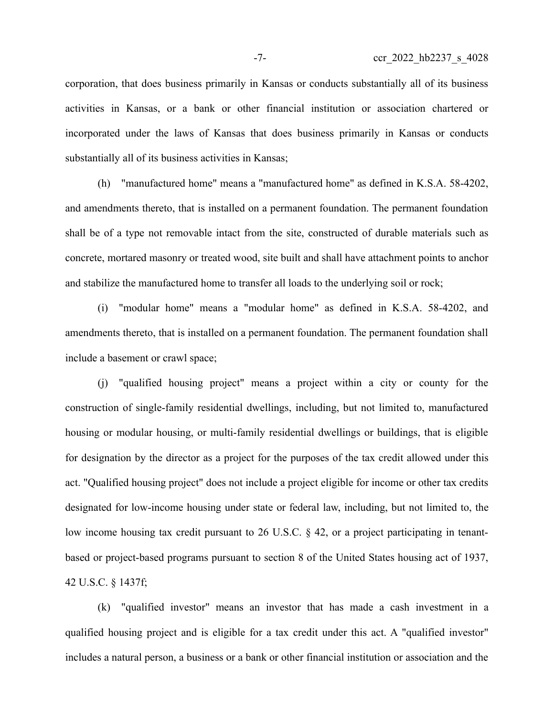corporation, that does business primarily in Kansas or conducts substantially all of its business activities in Kansas, or a bank or other financial institution or association chartered or incorporated under the laws of Kansas that does business primarily in Kansas or conducts substantially all of its business activities in Kansas;

(h) "manufactured home" means a "manufactured home" as defined in K.S.A. 58-4202, and amendments thereto, that is installed on a permanent foundation. The permanent foundation shall be of a type not removable intact from the site, constructed of durable materials such as concrete, mortared masonry or treated wood, site built and shall have attachment points to anchor and stabilize the manufactured home to transfer all loads to the underlying soil or rock;

(i) "modular home" means a "modular home" as defined in K.S.A. 58-4202, and amendments thereto, that is installed on a permanent foundation. The permanent foundation shall include a basement or crawl space;

(j) "qualified housing project" means a project within a city or county for the construction of single-family residential dwellings, including, but not limited to, manufactured housing or modular housing, or multi-family residential dwellings or buildings, that is eligible for designation by the director as a project for the purposes of the tax credit allowed under this act. "Qualified housing project" does not include a project eligible for income or other tax credits designated for low-income housing under state or federal law, including, but not limited to, the low income housing tax credit pursuant to 26 U.S.C. § 42, or a project participating in tenantbased or project-based programs pursuant to section 8 of the United States housing act of 1937, 42 U.S.C. § 1437f;

(k) "qualified investor" means an investor that has made a cash investment in a qualified housing project and is eligible for a tax credit under this act. A "qualified investor" includes a natural person, a business or a bank or other financial institution or association and the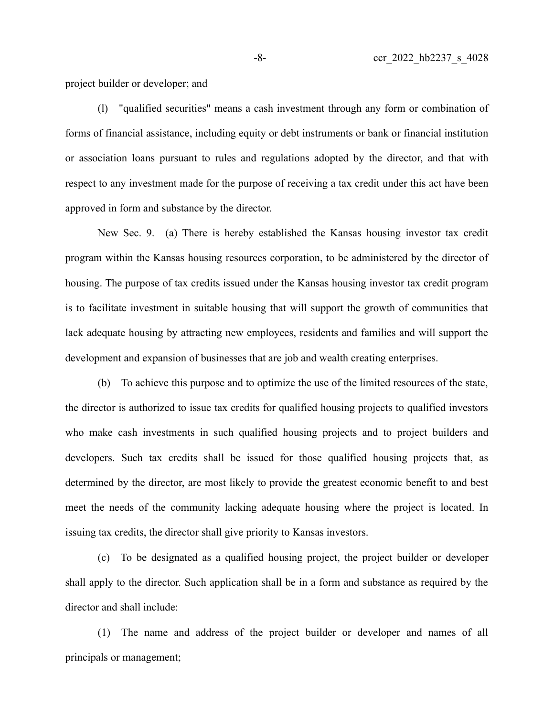project builder or developer; and

(l) "qualified securities" means a cash investment through any form or combination of forms of financial assistance, including equity or debt instruments or bank or financial institution or association loans pursuant to rules and regulations adopted by the director, and that with respect to any investment made for the purpose of receiving a tax credit under this act have been approved in form and substance by the director.

New Sec. 9. (a) There is hereby established the Kansas housing investor tax credit program within the Kansas housing resources corporation, to be administered by the director of housing. The purpose of tax credits issued under the Kansas housing investor tax credit program is to facilitate investment in suitable housing that will support the growth of communities that lack adequate housing by attracting new employees, residents and families and will support the development and expansion of businesses that are job and wealth creating enterprises.

(b) To achieve this purpose and to optimize the use of the limited resources of the state, the director is authorized to issue tax credits for qualified housing projects to qualified investors who make cash investments in such qualified housing projects and to project builders and developers. Such tax credits shall be issued for those qualified housing projects that, as determined by the director, are most likely to provide the greatest economic benefit to and best meet the needs of the community lacking adequate housing where the project is located. In issuing tax credits, the director shall give priority to Kansas investors.

(c) To be designated as a qualified housing project, the project builder or developer shall apply to the director. Such application shall be in a form and substance as required by the director and shall include:

(1) The name and address of the project builder or developer and names of all principals or management;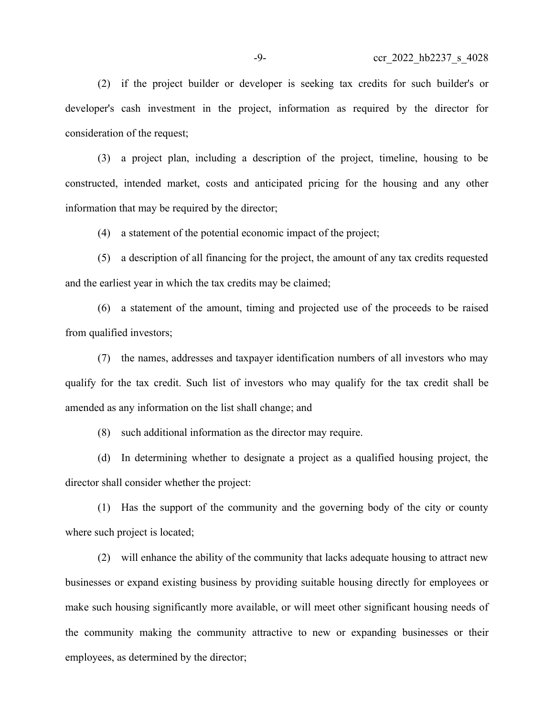(2) if the project builder or developer is seeking tax credits for such builder's or developer's cash investment in the project, information as required by the director for consideration of the request;

(3) a project plan, including a description of the project, timeline, housing to be constructed, intended market, costs and anticipated pricing for the housing and any other information that may be required by the director;

(4) a statement of the potential economic impact of the project;

(5) a description of all financing for the project, the amount of any tax credits requested and the earliest year in which the tax credits may be claimed;

(6) a statement of the amount, timing and projected use of the proceeds to be raised from qualified investors;

(7) the names, addresses and taxpayer identification numbers of all investors who may qualify for the tax credit. Such list of investors who may qualify for the tax credit shall be amended as any information on the list shall change; and

(8) such additional information as the director may require.

(d) In determining whether to designate a project as a qualified housing project, the director shall consider whether the project:

(1) Has the support of the community and the governing body of the city or county where such project is located;

(2) will enhance the ability of the community that lacks adequate housing to attract new businesses or expand existing business by providing suitable housing directly for employees or make such housing significantly more available, or will meet other significant housing needs of the community making the community attractive to new or expanding businesses or their employees, as determined by the director;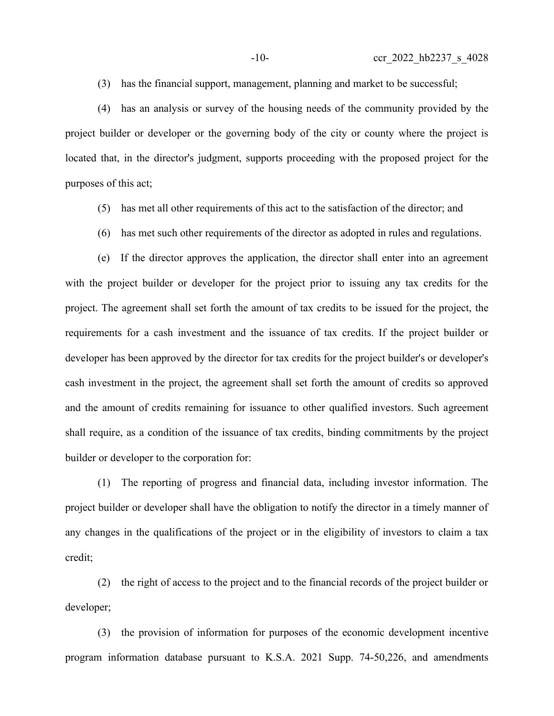(3) has the financial support, management, planning and market to be successful;

(4) has an analysis or survey of the housing needs of the community provided by the project builder or developer or the governing body of the city or county where the project is located that, in the director's judgment, supports proceeding with the proposed project for the purposes of this act;

- (5) has met all other requirements of this act to the satisfaction of the director; and
- (6) has met such other requirements of the director as adopted in rules and regulations.

(e) If the director approves the application, the director shall enter into an agreement with the project builder or developer for the project prior to issuing any tax credits for the project. The agreement shall set forth the amount of tax credits to be issued for the project, the requirements for a cash investment and the issuance of tax credits. If the project builder or developer has been approved by the director for tax credits for the project builder's or developer's cash investment in the project, the agreement shall set forth the amount of credits so approved and the amount of credits remaining for issuance to other qualified investors. Such agreement shall require, as a condition of the issuance of tax credits, binding commitments by the project builder or developer to the corporation for:

(1) The reporting of progress and financial data, including investor information. The project builder or developer shall have the obligation to notify the director in a timely manner of any changes in the qualifications of the project or in the eligibility of investors to claim a tax credit;

(2) the right of access to the project and to the financial records of the project builder or developer;

(3) the provision of information for purposes of the economic development incentive program information database pursuant to K.S.A. 2021 Supp. 74-50,226, and amendments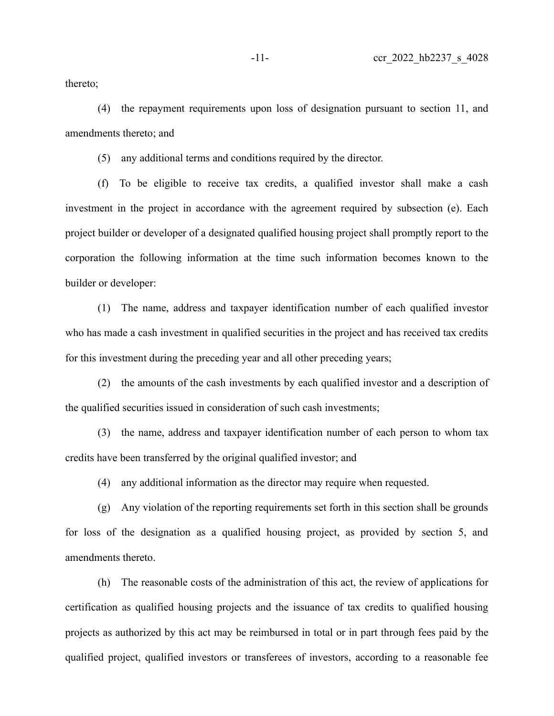thereto;

(4) the repayment requirements upon loss of designation pursuant to section 11, and amendments thereto; and

(5) any additional terms and conditions required by the director.

(f) To be eligible to receive tax credits, a qualified investor shall make a cash investment in the project in accordance with the agreement required by subsection (e). Each project builder or developer of a designated qualified housing project shall promptly report to the corporation the following information at the time such information becomes known to the builder or developer:

(1) The name, address and taxpayer identification number of each qualified investor who has made a cash investment in qualified securities in the project and has received tax credits for this investment during the preceding year and all other preceding years;

(2) the amounts of the cash investments by each qualified investor and a description of the qualified securities issued in consideration of such cash investments;

(3) the name, address and taxpayer identification number of each person to whom tax credits have been transferred by the original qualified investor; and

(4) any additional information as the director may require when requested.

(g) Any violation of the reporting requirements set forth in this section shall be grounds for loss of the designation as a qualified housing project, as provided by section 5, and amendments thereto.

(h) The reasonable costs of the administration of this act, the review of applications for certification as qualified housing projects and the issuance of tax credits to qualified housing projects as authorized by this act may be reimbursed in total or in part through fees paid by the qualified project, qualified investors or transferees of investors, according to a reasonable fee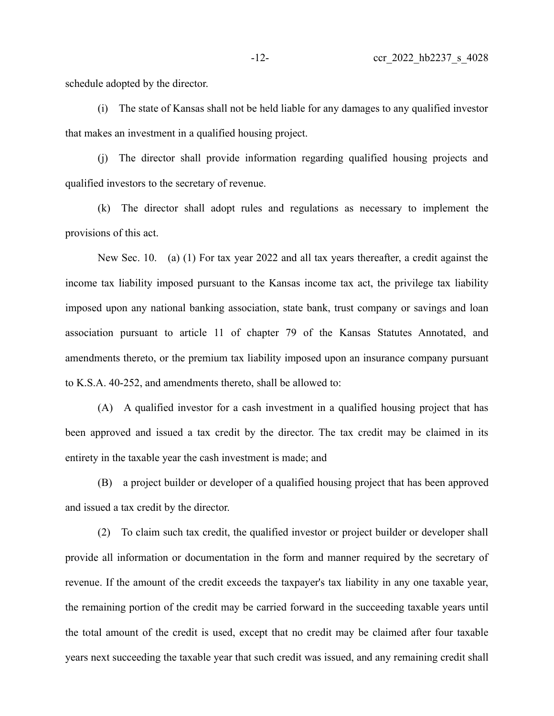schedule adopted by the director.

(i) The state of Kansas shall not be held liable for any damages to any qualified investor that makes an investment in a qualified housing project.

(j) The director shall provide information regarding qualified housing projects and qualified investors to the secretary of revenue.

(k) The director shall adopt rules and regulations as necessary to implement the provisions of this act.

New Sec. 10. (a) (1) For tax year 2022 and all tax years thereafter, a credit against the income tax liability imposed pursuant to the Kansas income tax act, the privilege tax liability imposed upon any national banking association, state bank, trust company or savings and loan association pursuant to article 11 of chapter 79 of the Kansas Statutes Annotated, and amendments thereto, or the premium tax liability imposed upon an insurance company pursuant to K.S.A. 40-252, and amendments thereto, shall be allowed to:

(A) A qualified investor for a cash investment in a qualified housing project that has been approved and issued a tax credit by the director. The tax credit may be claimed in its entirety in the taxable year the cash investment is made; and

(B) a project builder or developer of a qualified housing project that has been approved and issued a tax credit by the director.

(2) To claim such tax credit, the qualified investor or project builder or developer shall provide all information or documentation in the form and manner required by the secretary of revenue. If the amount of the credit exceeds the taxpayer's tax liability in any one taxable year, the remaining portion of the credit may be carried forward in the succeeding taxable years until the total amount of the credit is used, except that no credit may be claimed after four taxable years next succeeding the taxable year that such credit was issued, and any remaining credit shall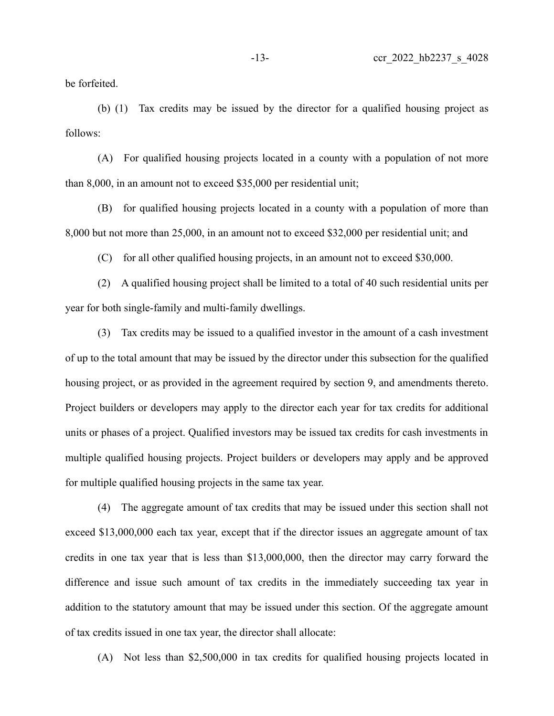be forfeited.

(b) (1) Tax credits may be issued by the director for a qualified housing project as follows:

(A) For qualified housing projects located in a county with a population of not more than 8,000, in an amount not to exceed \$35,000 per residential unit;

(B) for qualified housing projects located in a county with a population of more than 8,000 but not more than 25,000, in an amount not to exceed \$32,000 per residential unit; and

(C) for all other qualified housing projects, in an amount not to exceed \$30,000.

(2) A qualified housing project shall be limited to a total of 40 such residential units per year for both single-family and multi-family dwellings.

(3) Tax credits may be issued to a qualified investor in the amount of a cash investment of up to the total amount that may be issued by the director under this subsection for the qualified housing project, or as provided in the agreement required by section 9, and amendments thereto. Project builders or developers may apply to the director each year for tax credits for additional units or phases of a project. Qualified investors may be issued tax credits for cash investments in multiple qualified housing projects. Project builders or developers may apply and be approved for multiple qualified housing projects in the same tax year.

(4) The aggregate amount of tax credits that may be issued under this section shall not exceed \$13,000,000 each tax year, except that if the director issues an aggregate amount of tax credits in one tax year that is less than \$13,000,000, then the director may carry forward the difference and issue such amount of tax credits in the immediately succeeding tax year in addition to the statutory amount that may be issued under this section. Of the aggregate amount of tax credits issued in one tax year, the director shall allocate:

(A) Not less than \$2,500,000 in tax credits for qualified housing projects located in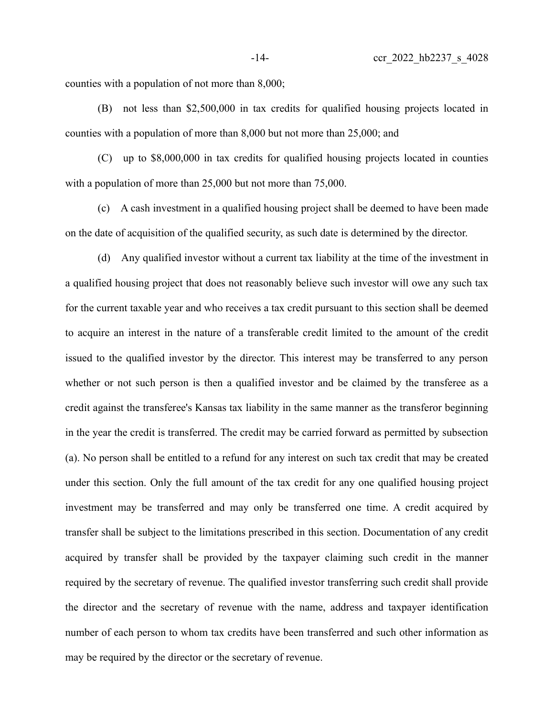counties with a population of not more than 8,000;

(B) not less than \$2,500,000 in tax credits for qualified housing projects located in counties with a population of more than 8,000 but not more than 25,000; and

(C) up to \$8,000,000 in tax credits for qualified housing projects located in counties with a population of more than 25,000 but not more than 75,000.

(c) A cash investment in a qualified housing project shall be deemed to have been made on the date of acquisition of the qualified security, as such date is determined by the director.

(d) Any qualified investor without a current tax liability at the time of the investment in a qualified housing project that does not reasonably believe such investor will owe any such tax for the current taxable year and who receives a tax credit pursuant to this section shall be deemed to acquire an interest in the nature of a transferable credit limited to the amount of the credit issued to the qualified investor by the director. This interest may be transferred to any person whether or not such person is then a qualified investor and be claimed by the transferee as a credit against the transferee's Kansas tax liability in the same manner as the transferor beginning in the year the credit is transferred. The credit may be carried forward as permitted by subsection (a). No person shall be entitled to a refund for any interest on such tax credit that may be created under this section. Only the full amount of the tax credit for any one qualified housing project investment may be transferred and may only be transferred one time. A credit acquired by transfer shall be subject to the limitations prescribed in this section. Documentation of any credit acquired by transfer shall be provided by the taxpayer claiming such credit in the manner required by the secretary of revenue. The qualified investor transferring such credit shall provide the director and the secretary of revenue with the name, address and taxpayer identification number of each person to whom tax credits have been transferred and such other information as may be required by the director or the secretary of revenue.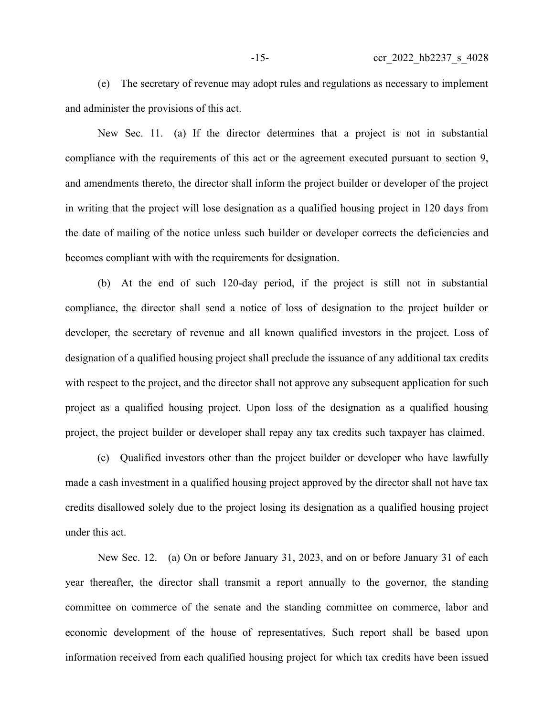(e) The secretary of revenue may adopt rules and regulations as necessary to implement and administer the provisions of this act.

New Sec. 11. (a) If the director determines that a project is not in substantial compliance with the requirements of this act or the agreement executed pursuant to section 9, and amendments thereto, the director shall inform the project builder or developer of the project in writing that the project will lose designation as a qualified housing project in 120 days from the date of mailing of the notice unless such builder or developer corrects the deficiencies and becomes compliant with with the requirements for designation.

(b) At the end of such 120-day period, if the project is still not in substantial compliance, the director shall send a notice of loss of designation to the project builder or developer, the secretary of revenue and all known qualified investors in the project. Loss of designation of a qualified housing project shall preclude the issuance of any additional tax credits with respect to the project, and the director shall not approve any subsequent application for such project as a qualified housing project. Upon loss of the designation as a qualified housing project, the project builder or developer shall repay any tax credits such taxpayer has claimed.

(c) Qualified investors other than the project builder or developer who have lawfully made a cash investment in a qualified housing project approved by the director shall not have tax credits disallowed solely due to the project losing its designation as a qualified housing project under this act.

New Sec. 12. (a) On or before January 31, 2023, and on or before January 31 of each year thereafter, the director shall transmit a report annually to the governor, the standing committee on commerce of the senate and the standing committee on commerce, labor and economic development of the house of representatives. Such report shall be based upon information received from each qualified housing project for which tax credits have been issued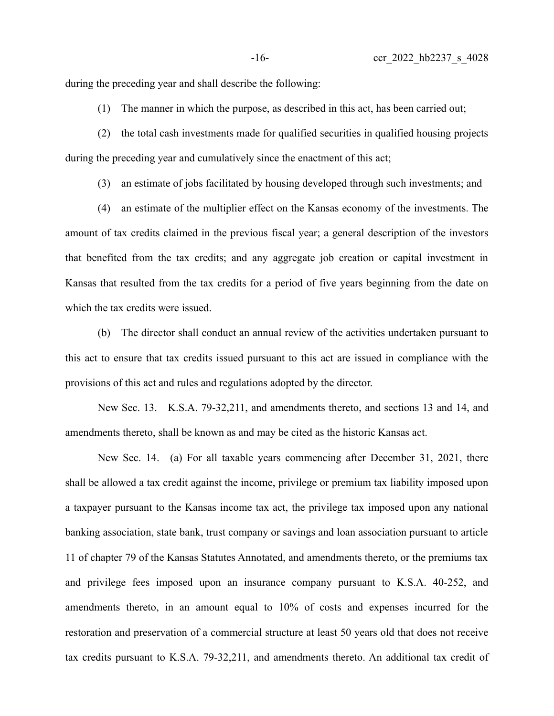during the preceding year and shall describe the following:

(1) The manner in which the purpose, as described in this act, has been carried out;

(2) the total cash investments made for qualified securities in qualified housing projects during the preceding year and cumulatively since the enactment of this act;

(3) an estimate of jobs facilitated by housing developed through such investments; and

(4) an estimate of the multiplier effect on the Kansas economy of the investments. The amount of tax credits claimed in the previous fiscal year; a general description of the investors that benefited from the tax credits; and any aggregate job creation or capital investment in Kansas that resulted from the tax credits for a period of five years beginning from the date on which the tax credits were issued.

(b) The director shall conduct an annual review of the activities undertaken pursuant to this act to ensure that tax credits issued pursuant to this act are issued in compliance with the provisions of this act and rules and regulations adopted by the director.

New Sec. 13. K.S.A. 79-32,211, and amendments thereto, and sections 13 and 14, and amendments thereto, shall be known as and may be cited as the historic Kansas act.

New Sec. 14. (a) For all taxable years commencing after December 31, 2021, there shall be allowed a tax credit against the income, privilege or premium tax liability imposed upon a taxpayer pursuant to the Kansas income tax act, the privilege tax imposed upon any national banking association, state bank, trust company or savings and loan association pursuant to article 11 of chapter 79 of the Kansas Statutes Annotated, and amendments thereto, or the premiums tax and privilege fees imposed upon an insurance company pursuant to K.S.A. 40-252, and amendments thereto, in an amount equal to 10% of costs and expenses incurred for the restoration and preservation of a commercial structure at least 50 years old that does not receive tax credits pursuant to K.S.A. 79-32,211, and amendments thereto. An additional tax credit of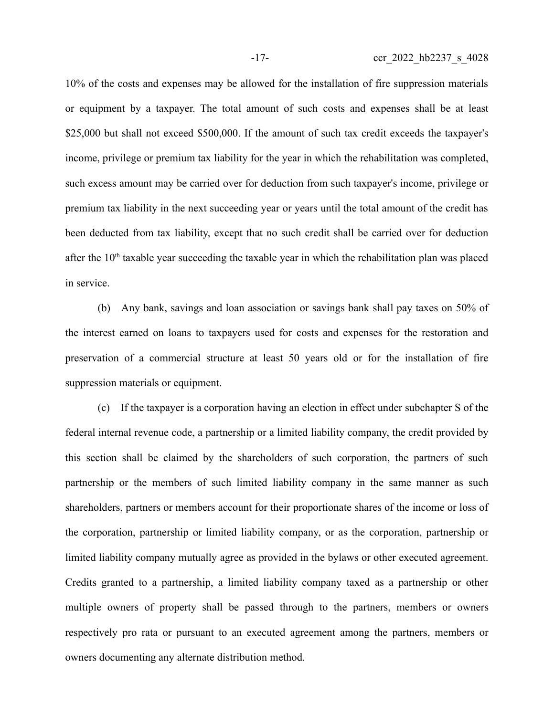10% of the costs and expenses may be allowed for the installation of fire suppression materials or equipment by a taxpayer. The total amount of such costs and expenses shall be at least \$25,000 but shall not exceed \$500,000. If the amount of such tax credit exceeds the taxpayer's income, privilege or premium tax liability for the year in which the rehabilitation was completed, such excess amount may be carried over for deduction from such taxpayer's income, privilege or premium tax liability in the next succeeding year or years until the total amount of the credit has been deducted from tax liability, except that no such credit shall be carried over for deduction after the  $10<sup>th</sup>$  taxable year succeeding the taxable year in which the rehabilitation plan was placed in service.

(b) Any bank, savings and loan association or savings bank shall pay taxes on 50% of the interest earned on loans to taxpayers used for costs and expenses for the restoration and preservation of a commercial structure at least 50 years old or for the installation of fire suppression materials or equipment.

(c) If the taxpayer is a corporation having an election in effect under subchapter S of the federal internal revenue code, a partnership or a limited liability company, the credit provided by this section shall be claimed by the shareholders of such corporation, the partners of such partnership or the members of such limited liability company in the same manner as such shareholders, partners or members account for their proportionate shares of the income or loss of the corporation, partnership or limited liability company, or as the corporation, partnership or limited liability company mutually agree as provided in the bylaws or other executed agreement. Credits granted to a partnership, a limited liability company taxed as a partnership or other multiple owners of property shall be passed through to the partners, members or owners respectively pro rata or pursuant to an executed agreement among the partners, members or owners documenting any alternate distribution method.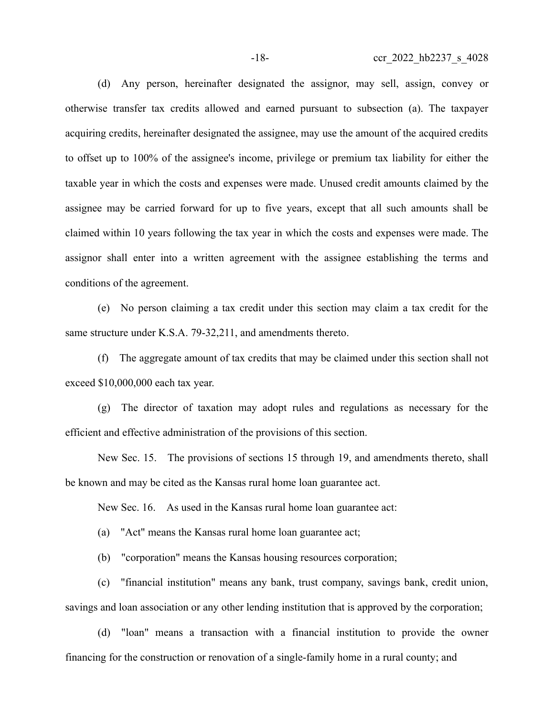(d) Any person, hereinafter designated the assignor, may sell, assign, convey or otherwise transfer tax credits allowed and earned pursuant to subsection (a). The taxpayer acquiring credits, hereinafter designated the assignee, may use the amount of the acquired credits to offset up to 100% of the assignee's income, privilege or premium tax liability for either the taxable year in which the costs and expenses were made. Unused credit amounts claimed by the assignee may be carried forward for up to five years, except that all such amounts shall be claimed within 10 years following the tax year in which the costs and expenses were made. The assignor shall enter into a written agreement with the assignee establishing the terms and conditions of the agreement.

(e) No person claiming a tax credit under this section may claim a tax credit for the same structure under K.S.A. 79-32,211, and amendments thereto.

(f) The aggregate amount of tax credits that may be claimed under this section shall not exceed \$10,000,000 each tax year.

(g) The director of taxation may adopt rules and regulations as necessary for the efficient and effective administration of the provisions of this section.

New Sec. 15. The provisions of sections 15 through 19, and amendments thereto, shall be known and may be cited as the Kansas rural home loan guarantee act.

New Sec. 16. As used in the Kansas rural home loan guarantee act:

(a) "Act" means the Kansas rural home loan guarantee act;

(b) "corporation" means the Kansas housing resources corporation;

(c) "financial institution" means any bank, trust company, savings bank, credit union, savings and loan association or any other lending institution that is approved by the corporation;

(d) "loan" means a transaction with a financial institution to provide the owner financing for the construction or renovation of a single-family home in a rural county; and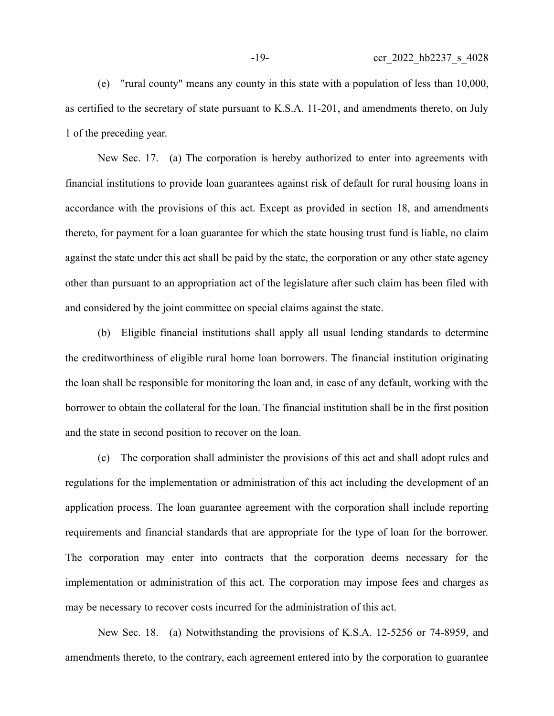(e) "rural county" means any county in this state with a population of less than 10,000, as certified to the secretary of state pursuant to K.S.A. 11-201, and amendments thereto, on July 1 of the preceding year.

New Sec. 17. (a) The corporation is hereby authorized to enter into agreements with financial institutions to provide loan guarantees against risk of default for rural housing loans in accordance with the provisions of this act. Except as provided in section 18, and amendments thereto, for payment for a loan guarantee for which the state housing trust fund is liable, no claim against the state under this act shall be paid by the state, the corporation or any other state agency other than pursuant to an appropriation act of the legislature after such claim has been filed with and considered by the joint committee on special claims against the state.

(b) Eligible financial institutions shall apply all usual lending standards to determine the creditworthiness of eligible rural home loan borrowers. The financial institution originating the loan shall be responsible for monitoring the loan and, in case of any default, working with the borrower to obtain the collateral for the loan. The financial institution shall be in the first position and the state in second position to recover on the loan.

(c) The corporation shall administer the provisions of this act and shall adopt rules and regulations for the implementation or administration of this act including the development of an application process. The loan guarantee agreement with the corporation shall include reporting requirements and financial standards that are appropriate for the type of loan for the borrower. The corporation may enter into contracts that the corporation deems necessary for the implementation or administration of this act. The corporation may impose fees and charges as may be necessary to recover costs incurred for the administration of this act.

New Sec. 18. (a) Notwithstanding the provisions of K.S.A. 12-5256 or 74-8959, and amendments thereto, to the contrary, each agreement entered into by the corporation to guarantee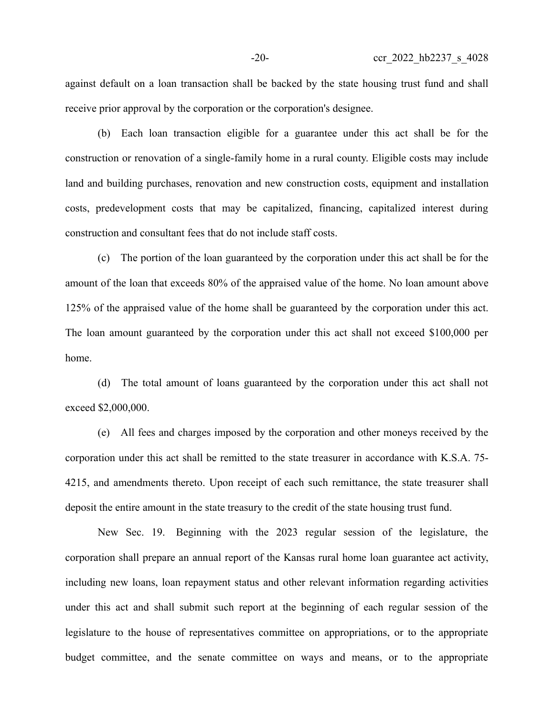against default on a loan transaction shall be backed by the state housing trust fund and shall receive prior approval by the corporation or the corporation's designee.

(b) Each loan transaction eligible for a guarantee under this act shall be for the construction or renovation of a single-family home in a rural county. Eligible costs may include land and building purchases, renovation and new construction costs, equipment and installation costs, predevelopment costs that may be capitalized, financing, capitalized interest during construction and consultant fees that do not include staff costs.

(c) The portion of the loan guaranteed by the corporation under this act shall be for the amount of the loan that exceeds 80% of the appraised value of the home. No loan amount above 125% of the appraised value of the home shall be guaranteed by the corporation under this act. The loan amount guaranteed by the corporation under this act shall not exceed \$100,000 per home.

(d) The total amount of loans guaranteed by the corporation under this act shall not exceed \$2,000,000.

(e) All fees and charges imposed by the corporation and other moneys received by the corporation under this act shall be remitted to the state treasurer in accordance with K.S.A. 75- 4215, and amendments thereto. Upon receipt of each such remittance, the state treasurer shall deposit the entire amount in the state treasury to the credit of the state housing trust fund.

New Sec. 19. Beginning with the 2023 regular session of the legislature, the corporation shall prepare an annual report of the Kansas rural home loan guarantee act activity, including new loans, loan repayment status and other relevant information regarding activities under this act and shall submit such report at the beginning of each regular session of the legislature to the house of representatives committee on appropriations, or to the appropriate budget committee, and the senate committee on ways and means, or to the appropriate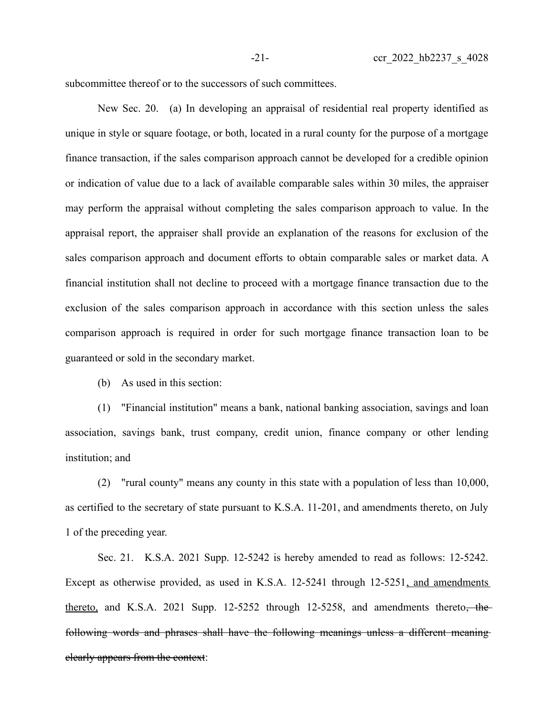subcommittee thereof or to the successors of such committees.

New Sec. 20. (a) In developing an appraisal of residential real property identified as unique in style or square footage, or both, located in a rural county for the purpose of a mortgage finance transaction, if the sales comparison approach cannot be developed for a credible opinion or indication of value due to a lack of available comparable sales within 30 miles, the appraiser may perform the appraisal without completing the sales comparison approach to value. In the appraisal report, the appraiser shall provide an explanation of the reasons for exclusion of the sales comparison approach and document efforts to obtain comparable sales or market data. A financial institution shall not decline to proceed with a mortgage finance transaction due to the exclusion of the sales comparison approach in accordance with this section unless the sales comparison approach is required in order for such mortgage finance transaction loan to be guaranteed or sold in the secondary market.

(b) As used in this section:

(1) "Financial institution" means a bank, national banking association, savings and loan association, savings bank, trust company, credit union, finance company or other lending institution; and

(2) "rural county" means any county in this state with a population of less than 10,000, as certified to the secretary of state pursuant to K.S.A. 11-201, and amendments thereto, on July 1 of the preceding year.

Sec. 21. K.S.A. 2021 Supp. 12-5242 is hereby amended to read as follows: 12-5242. Except as otherwise provided, as used in K.S.A. 12-5241 through 12-5251, and amendments thereto, and K.S.A. 2021 Supp.  $12-5252$  through  $12-5258$ , and amendments thereto, the following words and phrases shall have the following meanings unless a different meaning clearly appears from the context: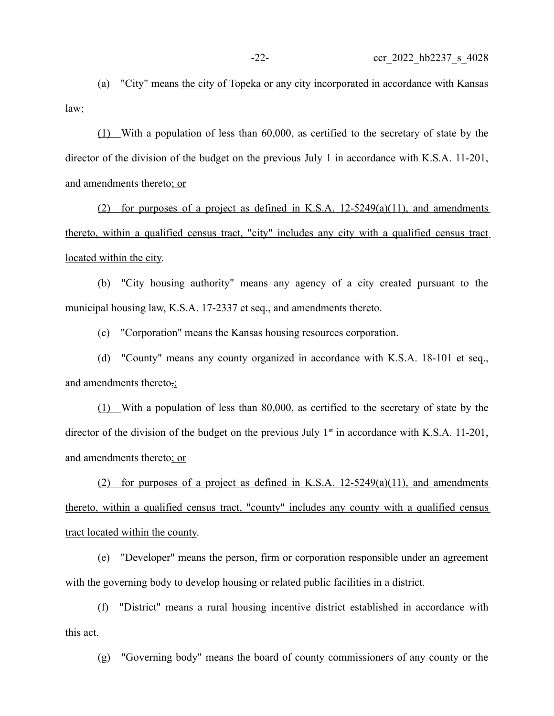(a) "City" means the city of Topeka or any city incorporated in accordance with Kansas law:

(1) With a population of less than 60,000, as certified to the secretary of state by the director of the division of the budget on the previous July 1 in accordance with K.S.A. 11-201, and amendments thereto; or

(2) for purposes of a project as defined in K.S.A.  $12-5249(a)(11)$ , and amendments thereto, within a qualified census tract, "city" includes any city with a qualified census tract located within the city.

(b) "City housing authority" means any agency of a city created pursuant to the municipal housing law, K.S.A. 17-2337 et seq., and amendments thereto.

(c) "Corporation" means the Kansas housing resources corporation.

(d) "County" means any county organized in accordance with K.S.A. 18-101 et seq., and amendments thereto<sub>7</sub>:

(1) With a population of less than 80,000, as certified to the secretary of state by the director of the division of the budget on the previous July  $1<sup>st</sup>$  in accordance with K.S.A. 11-201, and amendments thereto; or

(2) for purposes of a project as defined in K.S.A.  $12-5249(a)(11)$ , and amendments thereto, within a qualified census tract, "county" includes any county with a qualified census tract located within the county.

(e) "Developer" means the person, firm or corporation responsible under an agreement with the governing body to develop housing or related public facilities in a district.

(f) "District" means a rural housing incentive district established in accordance with this act.

(g) "Governing body" means the board of county commissioners of any county or the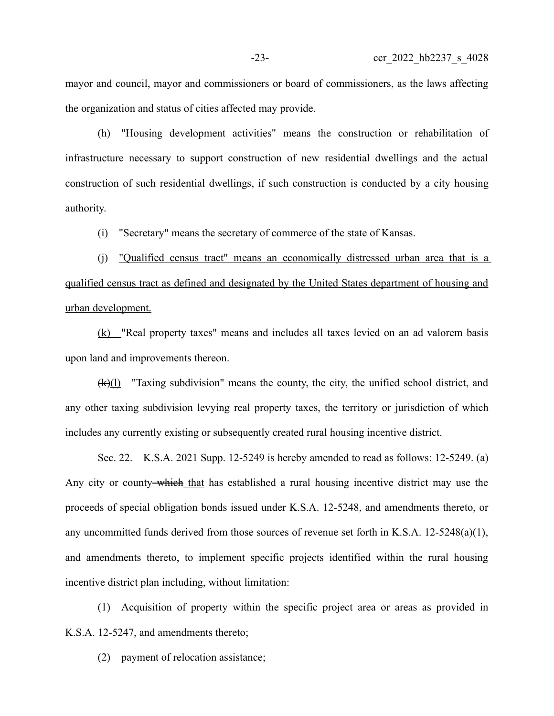mayor and council, mayor and commissioners or board of commissioners, as the laws affecting the organization and status of cities affected may provide.

(h) "Housing development activities" means the construction or rehabilitation of infrastructure necessary to support construction of new residential dwellings and the actual construction of such residential dwellings, if such construction is conducted by a city housing authority.

(i) "Secretary" means the secretary of commerce of the state of Kansas.

(j) "Qualified census tract" means an economically distressed urban area that is a qualified census tract as defined and designated by the United States department of housing and urban development.

(k) "Real property taxes" means and includes all taxes levied on an ad valorem basis upon land and improvements thereon.

(k)(l) "Taxing subdivision" means the county, the city, the unified school district, and any other taxing subdivision levying real property taxes, the territory or jurisdiction of which includes any currently existing or subsequently created rural housing incentive district.

Sec. 22. K.S.A. 2021 Supp. 12-5249 is hereby amended to read as follows: 12-5249. (a) Any city or county-which that has established a rural housing incentive district may use the proceeds of special obligation bonds issued under K.S.A. 12-5248, and amendments thereto, or any uncommitted funds derived from those sources of revenue set forth in K.S.A. 12-5248(a)(1), and amendments thereto, to implement specific projects identified within the rural housing incentive district plan including, without limitation:

(1) Acquisition of property within the specific project area or areas as provided in K.S.A. 12-5247, and amendments thereto;

(2) payment of relocation assistance;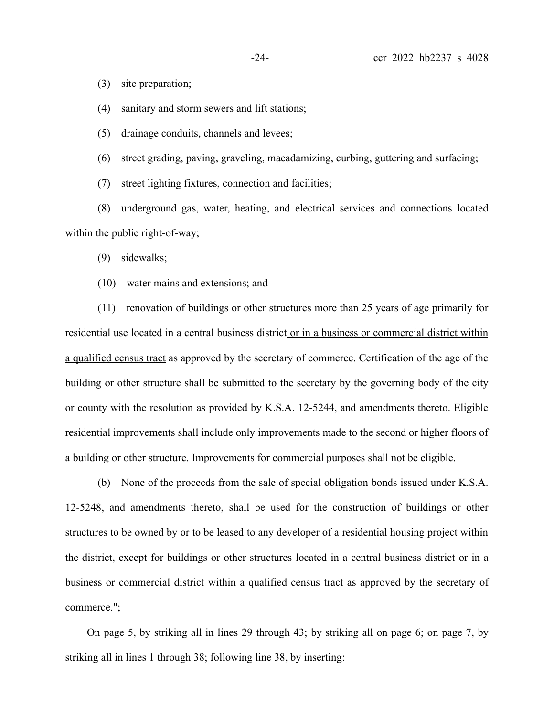(3) site preparation;

(4) sanitary and storm sewers and lift stations;

(5) drainage conduits, channels and levees;

(6) street grading, paving, graveling, macadamizing, curbing, guttering and surfacing;

(7) street lighting fixtures, connection and facilities;

(8) underground gas, water, heating, and electrical services and connections located within the public right-of-way;

(9) sidewalks;

(10) water mains and extensions; and

(11) renovation of buildings or other structures more than 25 years of age primarily for residential use located in a central business district or in a business or commercial district within a qualified census tract as approved by the secretary of commerce. Certification of the age of the building or other structure shall be submitted to the secretary by the governing body of the city or county with the resolution as provided by K.S.A. 12-5244, and amendments thereto. Eligible residential improvements shall include only improvements made to the second or higher floors of a building or other structure. Improvements for commercial purposes shall not be eligible.

(b) None of the proceeds from the sale of special obligation bonds issued under K.S.A. 12-5248, and amendments thereto, shall be used for the construction of buildings or other structures to be owned by or to be leased to any developer of a residential housing project within the district, except for buildings or other structures located in a central business district or in a business or commercial district within a qualified census tract as approved by the secretary of commerce.";

On page 5, by striking all in lines 29 through 43; by striking all on page 6; on page 7, by striking all in lines 1 through 38; following line 38, by inserting: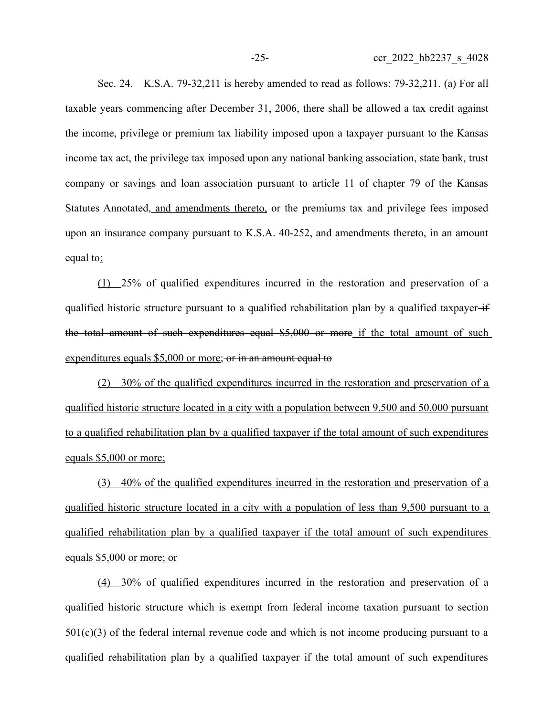Sec. 24. K.S.A. 79-32,211 is hereby amended to read as follows: 79-32,211. (a) For all taxable years commencing after December 31, 2006, there shall be allowed a tax credit against the income, privilege or premium tax liability imposed upon a taxpayer pursuant to the Kansas income tax act, the privilege tax imposed upon any national banking association, state bank, trust company or savings and loan association pursuant to article 11 of chapter 79 of the Kansas Statutes Annotated, and amendments thereto, or the premiums tax and privilege fees imposed upon an insurance company pursuant to K.S.A. 40-252, and amendments thereto, in an amount equal to:

(1) 25% of qualified expenditures incurred in the restoration and preservation of a qualified historic structure pursuant to a qualified rehabilitation plan by a qualified taxpayer if the total amount of such expenditures equal \$5,000 or more if the total amount of such expenditures equals \$5,000 or more; or in an amount equal to

(2) 30% of the qualified expenditures incurred in the restoration and preservation of a qualified historic structure located in a city with a population between 9,500 and 50,000 pursuant to a qualified rehabilitation plan by a qualified taxpayer if the total amount of such expenditures equals \$5,000 or more;

(3) 40% of the qualified expenditures incurred in the restoration and preservation of a qualified historic structure located in a city with a population of less than 9,500 pursuant to a qualified rehabilitation plan by a qualified taxpayer if the total amount of such expenditures equals \$5,000 or more; or

(4) 30% of qualified expenditures incurred in the restoration and preservation of a qualified historic structure which is exempt from federal income taxation pursuant to section  $501(c)(3)$  of the federal internal revenue code and which is not income producing pursuant to a qualified rehabilitation plan by a qualified taxpayer if the total amount of such expenditures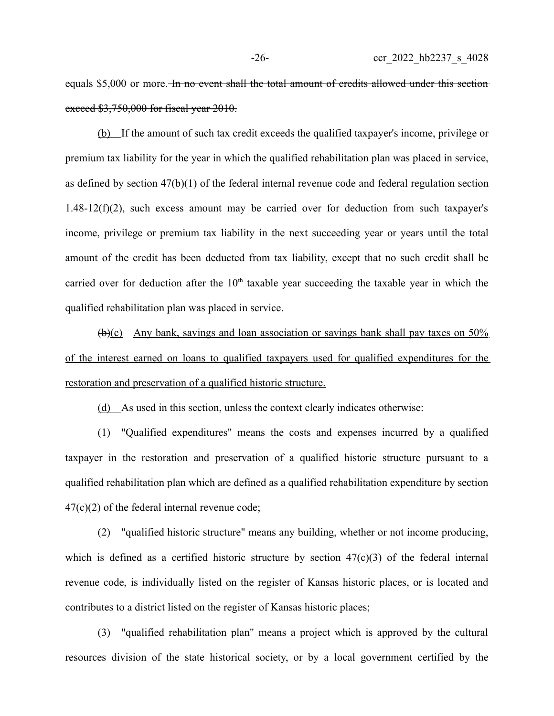equals \$5,000 or more. In no event shall the total amount of credits allowed under this section exceed \$3,750,000 for fiscal year 2010.

(b) If the amount of such tax credit exceeds the qualified taxpayer's income, privilege or premium tax liability for the year in which the qualified rehabilitation plan was placed in service, as defined by section 47(b)(1) of the federal internal revenue code and federal regulation section  $1.48-12(f)(2)$ , such excess amount may be carried over for deduction from such taxpayer's income, privilege or premium tax liability in the next succeeding year or years until the total amount of the credit has been deducted from tax liability, except that no such credit shall be carried over for deduction after the  $10<sup>th</sup>$  taxable year succeeding the taxable year in which the qualified rehabilitation plan was placed in service.

(b)(c) Any bank, savings and loan association or savings bank shall pay taxes on 50% of the interest earned on loans to qualified taxpayers used for qualified expenditures for the restoration and preservation of a qualified historic structure.

(d) As used in this section, unless the context clearly indicates otherwise:

(1) "Qualified expenditures" means the costs and expenses incurred by a qualified taxpayer in the restoration and preservation of a qualified historic structure pursuant to a qualified rehabilitation plan which are defined as a qualified rehabilitation expenditure by section  $47(c)(2)$  of the federal internal revenue code;

(2) "qualified historic structure" means any building, whether or not income producing, which is defined as a certified historic structure by section  $47(c)(3)$  of the federal internal revenue code, is individually listed on the register of Kansas historic places, or is located and contributes to a district listed on the register of Kansas historic places;

(3) "qualified rehabilitation plan" means a project which is approved by the cultural resources division of the state historical society, or by a local government certified by the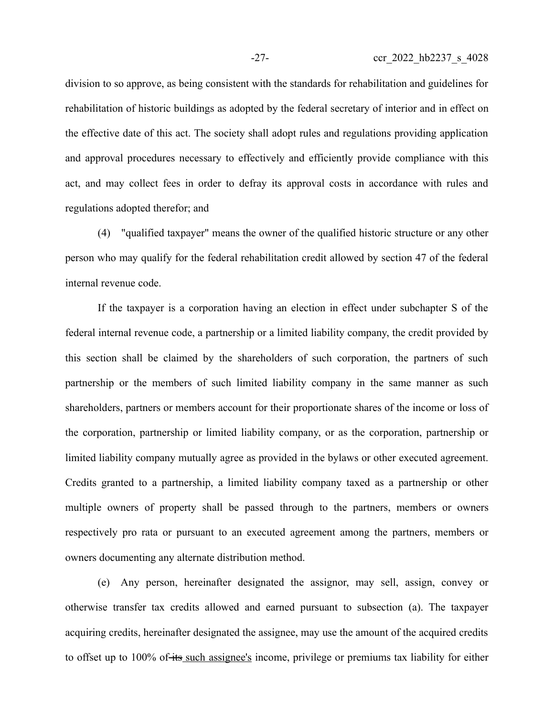division to so approve, as being consistent with the standards for rehabilitation and guidelines for rehabilitation of historic buildings as adopted by the federal secretary of interior and in effect on the effective date of this act. The society shall adopt rules and regulations providing application and approval procedures necessary to effectively and efficiently provide compliance with this act, and may collect fees in order to defray its approval costs in accordance with rules and regulations adopted therefor; and

(4) "qualified taxpayer" means the owner of the qualified historic structure or any other person who may qualify for the federal rehabilitation credit allowed by section 47 of the federal internal revenue code.

If the taxpayer is a corporation having an election in effect under subchapter S of the federal internal revenue code, a partnership or a limited liability company, the credit provided by this section shall be claimed by the shareholders of such corporation, the partners of such partnership or the members of such limited liability company in the same manner as such shareholders, partners or members account for their proportionate shares of the income or loss of the corporation, partnership or limited liability company, or as the corporation, partnership or limited liability company mutually agree as provided in the bylaws or other executed agreement. Credits granted to a partnership, a limited liability company taxed as a partnership or other multiple owners of property shall be passed through to the partners, members or owners respectively pro rata or pursuant to an executed agreement among the partners, members or owners documenting any alternate distribution method.

(e) Any person, hereinafter designated the assignor, may sell, assign, convey or otherwise transfer tax credits allowed and earned pursuant to subsection (a). The taxpayer acquiring credits, hereinafter designated the assignee, may use the amount of the acquired credits to offset up to 100% of its such assignee's income, privilege or premiums tax liability for either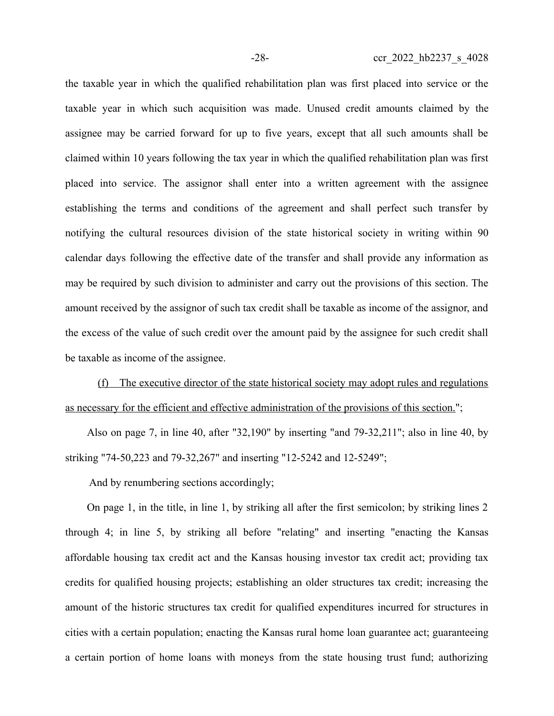the taxable year in which the qualified rehabilitation plan was first placed into service or the taxable year in which such acquisition was made. Unused credit amounts claimed by the assignee may be carried forward for up to five years, except that all such amounts shall be claimed within 10 years following the tax year in which the qualified rehabilitation plan was first placed into service. The assignor shall enter into a written agreement with the assignee establishing the terms and conditions of the agreement and shall perfect such transfer by notifying the cultural resources division of the state historical society in writing within 90 calendar days following the effective date of the transfer and shall provide any information as may be required by such division to administer and carry out the provisions of this section. The amount received by the assignor of such tax credit shall be taxable as income of the assignor, and the excess of the value of such credit over the amount paid by the assignee for such credit shall be taxable as income of the assignee.

(f) The executive director of the state historical society may adopt rules and regulations as necessary for the efficient and effective administration of the provisions of this section.";

Also on page 7, in line 40, after "32,190" by inserting "and 79-32,211"; also in line 40, by striking "74-50,223 and 79-32,267" and inserting "12-5242 and 12-5249";

And by renumbering sections accordingly;

On page 1, in the title, in line 1, by striking all after the first semicolon; by striking lines 2 through 4; in line 5, by striking all before "relating" and inserting "enacting the Kansas affordable housing tax credit act and the Kansas housing investor tax credit act; providing tax credits for qualified housing projects; establishing an older structures tax credit; increasing the amount of the historic structures tax credit for qualified expenditures incurred for structures in cities with a certain population; enacting the Kansas rural home loan guarantee act; guaranteeing a certain portion of home loans with moneys from the state housing trust fund; authorizing